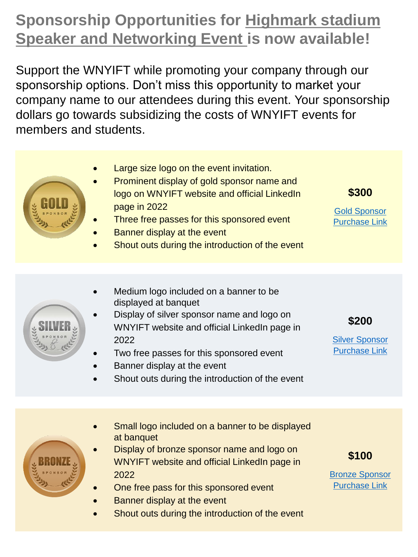## **Sponsorship Opportunities for Highmark stadium Speaker and Networking Event is now available!**

Support the WNYIFT while promoting your company through our sponsorship options. Don't miss this opportunity to market your company name to our attendees during this event. Your sponsorship dollars go towards subsidizing the costs of WNYIFT events for members and students.

- Large size logo on the event invitation. Prominent display of gold sponsor name and logo on WNYIFT website and official LinkedIn page in 2022 Three free passes for this sponsored event Banner display at the event Shout outs during the introduction of the event **\$300** [Gold Sponsor](https://checkout.square.site/merchant/MLXJNY94AJTGV/checkout/UTKZR464UG7Z6QZPCSO74BBG)  Purchase Link
	- Medium logo included on a banner to be displayed at banquet
	- Display of silver sponsor name and logo on WNYIFT website and official LinkedIn page in 2022
	- Two free passes for this sponsored event
	- Banner display at the event
	- Shout outs during the introduction of the event
- **\$200**

Silver Sponsor [Purchase Link](https://checkout.square.site/merchant/MLXJNY94AJTGV/checkout/UGDL66ZP72Z6FMATJY7BVT3G)

- Small logo included on a banner to be displayed at banquet Display of bronze sponsor name and logo on
	- WNYIFT website and official LinkedIn page in 2022
- One free pass for this sponsored event
- Banner display at the event
- Shout outs during the introduction of the event

**\$100**

[Bronze Sponsor](https://checkout.square.site/merchant/MLXJNY94AJTGV/checkout/LQ2XDDFG6RX2ZM3UUCITZYOC)  Purchase Link